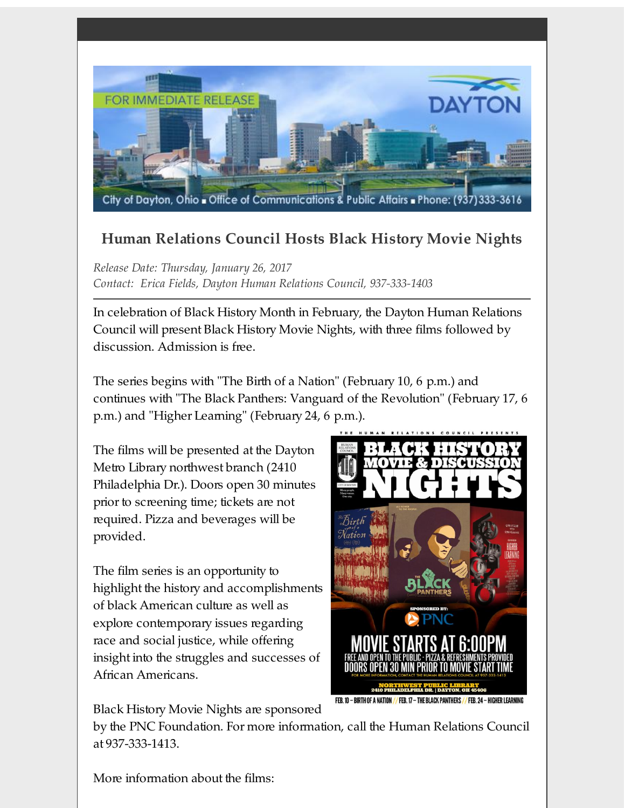

## **Human Relations Council Hosts Black History Movie Nights**

*Release Date: Thursday, January 26, 2017 Contact: Erica Fields, Dayton Human Relations Council, 937-333-1403*

In celebration of Black History Month in February, the Dayton Human Relations Council will present Black History Movie Nights, with three films followed by discussion. Admission is free.

The series begins with "The Birth of a Nation" (February 10, 6 p.m.) and continues with "The Black Panthers: Vanguard of the Revolution" (February 17, 6 p.m.) and "Higher Learning" (February 24, 6 p.m.).

The films will be presented at the Dayton Metro Library northwest branch (2410 Philadelphia Dr.). Doors open 30 minutes prior to screening time; tickets are not required. Pizza and beverages will be provided.

The film series is an opportunity to highlight the history and accomplishments of black American culture as well as explore contemporary issues regarding race and social justice, while offering insight into the struggles and successes of African Americans.



Black History Movie Nights are sponsored

by the PNC Foundation. For more information, call the Human Relations Council at 937-333-1413.

More information about the films: